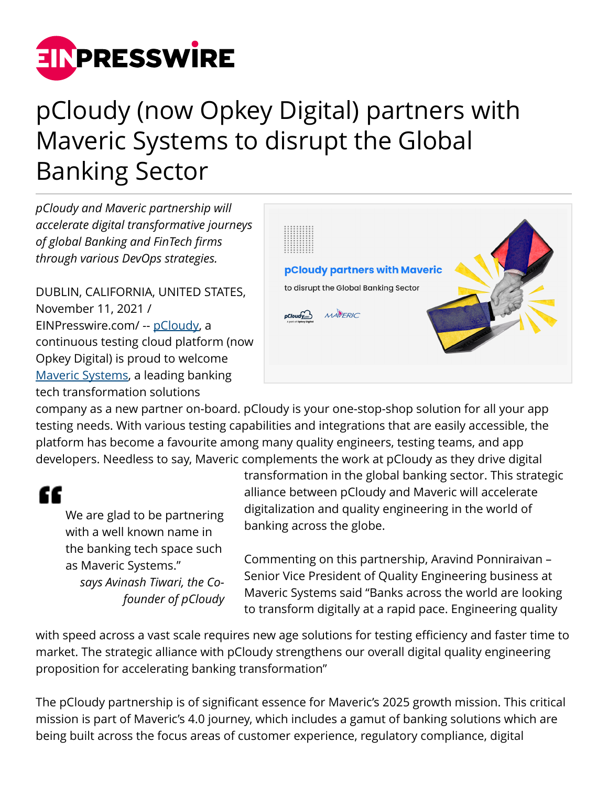

# pCloudy (now Opkey Digital) partners with Maveric Systems to disrupt the Global Banking Sector

*pCloudy and Maveric partnership will accelerate digital transformative journeys of global Banking and FinTech firms through various DevOps strategies.*

DUBLIN, CALIFORNIA, UNITED STATES, November 11, 2021 / [EINPresswire.com](http://www.einpresswire.com)/ -- [pCloudy](https://www.pcloudy.com), a continuous testing cloud platform (now Opkey Digital) is proud to welcome [Maveric Systems](https://maveric-systems.com), a leading banking tech transformation solutions



company as a new partner on-board. pCloudy is your one-stop-shop solution for all your app testing needs. With various testing capabilities and integrations that are easily accessible, the platform has become a favourite among many quality engineers, testing teams, and app developers. Needless to say, Maveric complements the work at pCloudy as they drive digital

# "

We are glad to be partnering with a well known name in the banking tech space such as Maveric Systems." *says Avinash Tiwari, the Cofounder of pCloudy* transformation in the global banking sector. This strategic alliance between pCloudy and Maveric will accelerate digitalization and quality engineering in the world of banking across the globe.

Commenting on this partnership, Aravind Ponniraivan – Senior Vice President of Quality Engineering business at Maveric Systems said "Banks across the world are looking to transform digitally at a rapid pace. Engineering quality

with speed across a vast scale requires new age solutions for testing efficiency and faster time to market. The strategic alliance with pCloudy strengthens our overall digital quality engineering proposition for accelerating banking transformation"

The pCloudy partnership is of significant essence for Maveric's 2025 growth mission. This critical mission is part of Maveric's 4.0 journey, which includes a gamut of banking solutions which are being built across the focus areas of customer experience, regulatory compliance, digital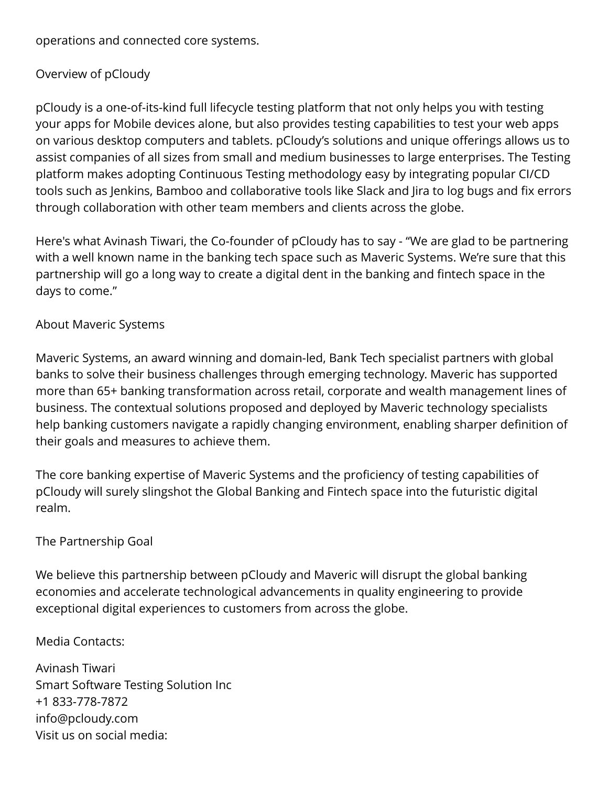operations and connected core systems.

## Overview of pCloudy

pCloudy is a one-of-its-kind full lifecycle testing platform that not only helps you with testing your apps for Mobile devices alone, but also provides testing capabilities to test your web apps on various desktop computers and tablets. pCloudy's solutions and unique offerings allows us to assist companies of all sizes from small and medium businesses to large enterprises. The Testing platform makes adopting Continuous Testing methodology easy by integrating popular CI/CD tools such as Jenkins, Bamboo and collaborative tools like Slack and Jira to log bugs and fix errors through collaboration with other team members and clients across the globe.

Here's what Avinash Tiwari, the Co-founder of pCloudy has to say - "We are glad to be partnering with a well known name in the banking tech space such as Maveric Systems. We're sure that this partnership will go a long way to create a digital dent in the banking and fintech space in the days to come."

#### About Maveric Systems

Maveric Systems, an award winning and domain-led, Bank Tech specialist partners with global banks to solve their business challenges through emerging technology. Maveric has supported more than 65+ banking transformation across retail, corporate and wealth management lines of business. The contextual solutions proposed and deployed by Maveric technology specialists help banking customers navigate a rapidly changing environment, enabling sharper definition of their goals and measures to achieve them.

The core banking expertise of Maveric Systems and the proficiency of testing capabilities of pCloudy will surely slingshot the Global Banking and Fintech space into the futuristic digital realm.

### The Partnership Goal

We believe this partnership between pCloudy and Maveric will disrupt the global banking economies and accelerate technological advancements in quality engineering to provide exceptional digital experiences to customers from across the globe.

Media Contacts:

Avinash Tiwari Smart Software Testing Solution Inc +1 833-778-7872 info@pcloudy.com Visit us on social media: